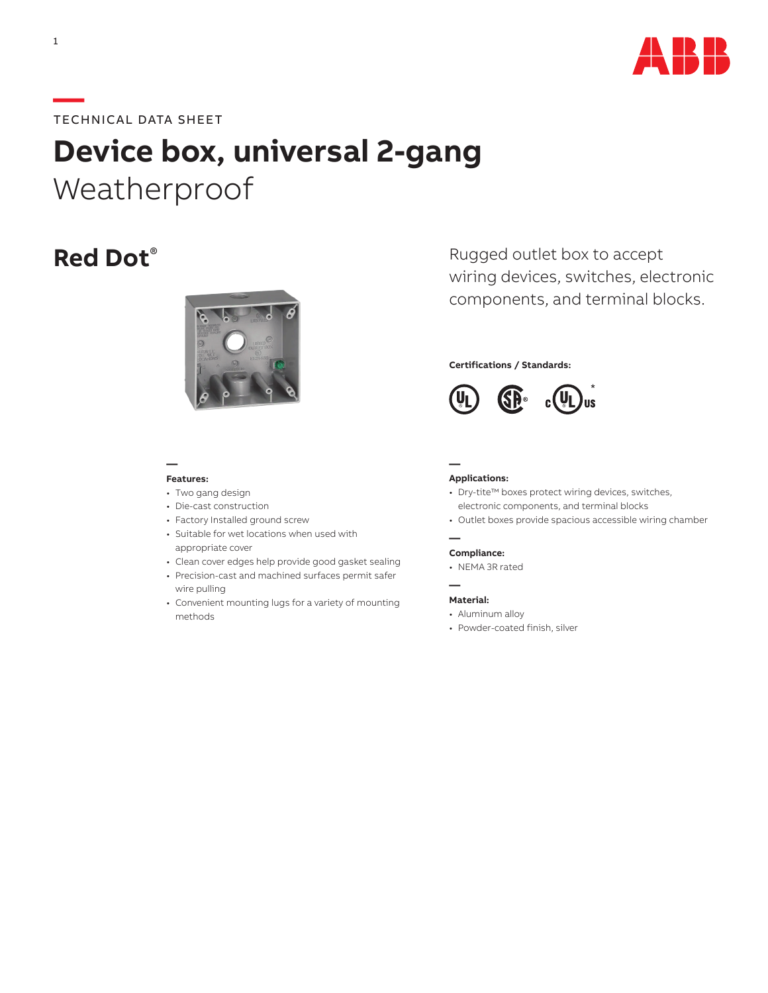

# **—**TECHNICAL DATA SHEET

# **Device box, universal 2-gang** Weatherproof



### **— Features:**

#### • Two gang design

- Die-cast construction
- Factory Installed ground screw
- Suitable for wet locations when used with appropriate cover
- Clean cover edges help provide good gasket sealing
- Precision-cast and machined surfaces permit safer wire pulling
- Convenient mounting lugs for a variety of mounting methods

**Red Dot**<sup>®</sup> Rugged outlet box to accept wiring devices, switches, electronic components, and terminal blocks.

## **Certifications / Standards:**



#### **Applications:**

**—**

**—**

**—**

- Dry-tite™ boxes protect wiring devices, switches, electronic components, and terminal blocks
- Outlet boxes provide spacious accessible wiring chamber

#### **Compliance:**

• NEMA 3R rated

#### **Material:**

- Aluminum alloy
- Powder-coated finish, silver